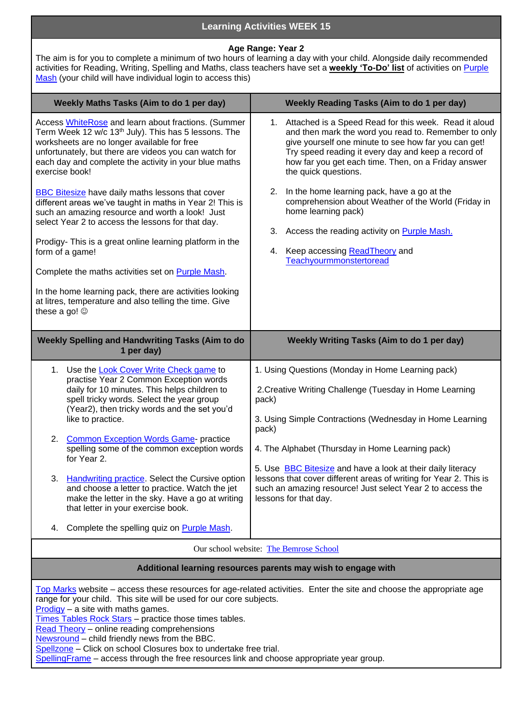## **Learning Activities WEEK 15**

## **Age Range: Year 2**

The aim is for you to complete a minimum of two hours of learning a day with your child. Alongside daily recommended activities for Reading, Writing, Spelling and Maths, class teachers have set a **weekly 'To-Do' list** of activities on [Purple](https://www.purplemash.com/sch/thebemroseschool)  [Mash](https://www.purplemash.com/sch/thebemroseschool) (your child will have individual login to access this)

| Weekly Maths Tasks (Aim to do 1 per day)                                                                                                                                                                                                                                                                                                                                                                                                                                                                                                                                                                                                | <b>Weekly Reading Tasks (Aim to do 1 per day)</b>                                                                                                                                                                                                                                                                                                                                                                                                                         |
|-----------------------------------------------------------------------------------------------------------------------------------------------------------------------------------------------------------------------------------------------------------------------------------------------------------------------------------------------------------------------------------------------------------------------------------------------------------------------------------------------------------------------------------------------------------------------------------------------------------------------------------------|---------------------------------------------------------------------------------------------------------------------------------------------------------------------------------------------------------------------------------------------------------------------------------------------------------------------------------------------------------------------------------------------------------------------------------------------------------------------------|
| Access WhiteRose and learn about fractions. (Summer<br>Term Week 12 w/c 13 <sup>th</sup> July). This has 5 lessons. The<br>worksheets are no longer available for free<br>unfortunately, but there are videos you can watch for<br>each day and complete the activity in your blue maths<br>exercise book!                                                                                                                                                                                                                                                                                                                              | 1. Attached is a Speed Read for this week. Read it aloud<br>and then mark the word you read to. Remember to only<br>give yourself one minute to see how far you can get!<br>Try speed reading it every day and keep a record of<br>how far you get each time. Then, on a Friday answer<br>the quick questions.                                                                                                                                                            |
| <b>BBC Bitesize have daily maths lessons that cover</b><br>different areas we've taught in maths in Year 2! This is<br>such an amazing resource and worth a look! Just<br>select Year 2 to access the lessons for that day.<br>Prodigy- This is a great online learning platform in the<br>form of a game!<br>Complete the maths activities set on Purple Mash.<br>In the home learning pack, there are activities looking<br>at litres, temperature and also telling the time. Give<br>these a go! $\circledcirc$                                                                                                                      | In the home learning pack, have a go at the<br>2.<br>comprehension about Weather of the World (Friday in<br>home learning pack)<br>Access the reading activity on <b>Purple Mash.</b><br>3.<br>Keep accessing ReadTheory and<br>4.<br>Teachyourmmonstertoread                                                                                                                                                                                                             |
|                                                                                                                                                                                                                                                                                                                                                                                                                                                                                                                                                                                                                                         |                                                                                                                                                                                                                                                                                                                                                                                                                                                                           |
| Weekly Spelling and Handwriting Tasks (Aim to do<br>1 per day)                                                                                                                                                                                                                                                                                                                                                                                                                                                                                                                                                                          | <b>Weekly Writing Tasks (Aim to do 1 per day)</b>                                                                                                                                                                                                                                                                                                                                                                                                                         |
| 1. Use the Look Cover Write Check game to<br>practise Year 2 Common Exception words<br>daily for 10 minutes. This helps children to<br>spell tricky words. Select the year group<br>(Year2), then tricky words and the set you'd<br>like to practice.<br>2. Common Exception Words Game- practice<br>spelling some of the common exception words<br>for Year 2.<br><b>Handwriting practice.</b> Select the Cursive option<br>3.<br>and choose a letter to practice. Watch the jet<br>make the letter in the sky. Have a go at writing<br>that letter in your exercise book.<br>Complete the spelling quiz on <b>Purple Mash</b> .<br>4. | 1. Using Questions (Monday in Home Learning pack)<br>2. Creative Writing Challenge (Tuesday in Home Learning<br>pack)<br>3. Using Simple Contractions (Wednesday in Home Learning<br>pack)<br>4. The Alphabet (Thursday in Home Learning pack)<br>5. Use BBC Bitesize and have a look at their daily literacy<br>lessons that cover different areas of writing for Year 2. This is<br>such an amazing resource! Just select Year 2 to access the<br>lessons for that day. |

## **Additional learning resources parents may wish to engage with**

[Top Marks](https://www.topmarks.co.uk/) website – access these resources for age-related activities. Enter the site and choose the appropriate age range for your child. This site will be used for our core subjects.  $Product - a site with maths games.$ </u> [Times Tables Rock Stars](https://play.ttrockstars.com/auth/school/student) - practice those times tables.

[Read Theory](https://www.readtheory.org/auth/login) - online reading comprehensions [Newsround](https://www.bbc.co.uk/newsround/news/watch_newsround) – child friendly news from the BBC.

[Spellzone](https://www.spellzone.com/index.cfm) – Click on school Closures box to undertake free trial.

[SpellingFrame](https://spellingframe.co.uk/) – access through the free resources link and choose appropriate year group.